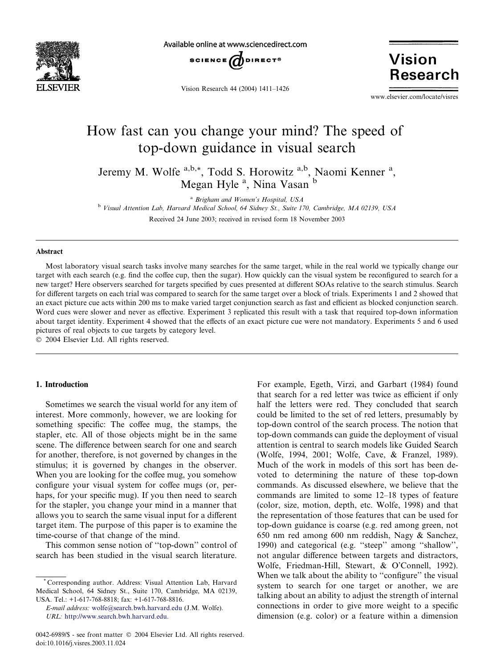

Available online at www.sciencedirect.com



Vision Research 44 (2004) 1411–1426

**Vision Research** 

www.elsevier.com/locate/visres

# How fast can you change your mind? The speed of top-down guidance in visual search

Jeremy M. Wolfe <sup>a,b,\*</sup>, Todd S. Horowitz <sup>a,b</sup>, Naomi Kenner<sup>a</sup>, Megan Hyle<sup>a</sup>, Nina Vasan b

<sup>a</sup> Brigham and Women's Hospital, USA

<sup>b</sup> Visual Attention Lab, Harvard Medical School, 64 Sidney St., Suite 170, Cambridge, MA 02139, USA Received 24 June 2003; received in revised form 18 November 2003

#### Abstract

Most laboratory visual search tasks involve many searches for the same target, while in the real world we typically change our target with each search (e.g. find the coffee cup, then the sugar). How quickly can the visual system be reconfigured to search for a new target? Here observers searched for targets specified by cues presented at different SOAs relative to the search stimulus. Search for different targets on each trial was compared to search for the same target over a block of trials. Experiments 1 and 2 showed that an exact picture cue acts within 200 ms to make varied target conjunction search as fast and efficient as blocked conjunction search. Word cues were slower and never as effective. Experiment 3 replicated this result with a task that required top-down information about target identity. Experiment 4 showed that the effects of an exact picture cue were not mandatory. Experiments 5 and 6 used pictures of real objects to cue targets by category level.

2004 Elsevier Ltd. All rights reserved.

#### 1. Introduction

Sometimes we search the visual world for any item of interest. More commonly, however, we are looking for something specific: The coffee mug, the stamps, the stapler, etc. All of those objects might be in the same scene. The difference between search for one and search for another, therefore, is not governed by changes in the stimulus; it is governed by changes in the observer. When you are looking for the coffee mug, you somehow configure your visual system for coffee mugs (or, perhaps, for your specific mug). If you then need to search for the stapler, you change your mind in a manner that allows you to search the same visual input for a different target item. The purpose of this paper is to examine the time-course of that change of the mind.

This common sense notion of ''top-down'' control of search has been studied in the visual search literature.

Corresponding author. Address: Visual Attention Lab, Harvard Medical School, 64 Sidney St., Suite 170, Cambridge, MA 02139, USA. Tel.:  $+1-617-768-8818$ ; fax:  $+1-617-768-8816$ .

E-mail address: [wolfe@search.bwh.harvard.edu](mail to: wolfe@search.bwh.harvard.edu) (J.M. Wolfe). URL: [http://www.search.bwh.harvard.edu.](http://www.search.bwh.harvard.edu)

0042-6989/\$ - see front matter © 2004 Elsevier Ltd. All rights reserved. doi:10.1016/j.visres.2003.11.024

For example, Egeth, Virzi, and Garbart (1984) found that search for a red letter was twice as efficient if only half the letters were red. They concluded that search could be limited to the set of red letters, presumably by top-down control of the search process. The notion that top-down commands can guide the deployment of visual attention is central to search models like Guided Search (Wolfe, 1994, 2001; Wolfe, Cave, & Franzel, 1989). Much of the work in models of this sort has been devoted to determining the nature of these top-down commands. As discussed elsewhere, we believe that the commands are limited to some 12–18 types of feature (color, size, motion, depth, etc. Wolfe, 1998) and that the representation of those features that can be used for top-down guidance is coarse (e.g. red among green, not 650 nm red among 600 nm reddish, Nagy & Sanchez, 1990) and categorical (e.g. ''steep'' among ''shallow'', not angular difference between targets and distractors, Wolfe, Friedman-Hill, Stewart, & O'Connell, 1992). When we talk about the ability to "configure" the visual system to search for one target or another, we are talking about an ability to adjust the strength of internal connections in order to give more weight to a specific dimension (e.g. color) or a feature within a dimension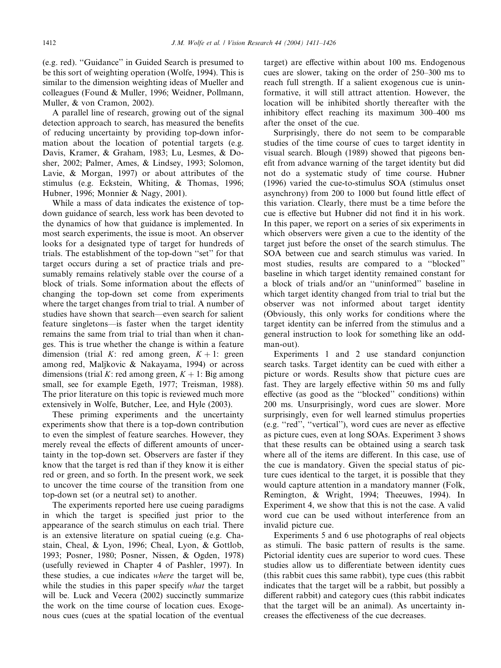(e.g. red). ''Guidance'' in Guided Search is presumed to be this sort of weighting operation (Wolfe, 1994). This is similar to the dimension weighting ideas of Mueller and colleagues (Found & Muller, 1996; Weidner, Pollmann, Muller, & von Cramon, 2002).

A parallel line of research, growing out of the signal detection approach to search, has measured the benefits of reducing uncertainty by providing top-down information about the location of potential targets (e.g. Davis, Kramer, & Graham, 1983; Lu, Lesmes, & Dosher, 2002; Palmer, Ames, & Lindsey, 1993; Solomon, Lavie, & Morgan, 1997) or about attributes of the stimulus (e.g. Eckstein, Whiting, & Thomas, 1996; Hubner, 1996; Monnier & Nagy, 2001).

While a mass of data indicates the existence of topdown guidance of search, less work has been devoted to the dynamics of how that guidance is implemented. In most search experiments, the issue is moot. An observer looks for a designated type of target for hundreds of trials. The establishment of the top-down ''set'' for that target occurs during a set of practice trials and presumably remains relatively stable over the course of a block of trials. Some information about the effects of changing the top-down set come from experiments where the target changes from trial to trial. A number of studies have shown that search––even search for salient feature singletons––is faster when the target identity remains the same from trial to trial than when it changes. This is true whether the change is within a feature dimension (trial K: red among green,  $K + 1$ : green among red, Maljkovic & Nakayama, 1994) or across dimensions (trial K: red among green,  $K + 1$ : Big among small, see for example Egeth, 1977; Treisman, 1988). The prior literature on this topic is reviewed much more extensively in Wolfe, Butcher, Lee, and Hyle (2003).

These priming experiments and the uncertainty experiments show that there is a top-down contribution to even the simplest of feature searches. However, they merely reveal the effects of different amounts of uncertainty in the top-down set. Observers are faster if they know that the target is red than if they know it is either red or green, and so forth. In the present work, we seek to uncover the time course of the transition from one top-down set (or a neutral set) to another.

The experiments reported here use cueing paradigms in which the target is specified just prior to the appearance of the search stimulus on each trial. There is an extensive literature on spatial cueing (e.g. Chastain, Cheal, & Lyon, 1996; Cheal, Lyon, & Gottlob, 1993; Posner, 1980; Posner, Nissen, & Ogden, 1978) (usefully reviewed in Chapter 4 of Pashler, 1997). In these studies, a cue indicates where the target will be, while the studies in this paper specify what the target will be. Luck and Vecera (2002) succinctly summarize the work on the time course of location cues. Exogenous cues (cues at the spatial location of the eventual target) are effective within about 100 ms. Endogenous cues are slower, taking on the order of 250–300 ms to reach full strength. If a salient exogenous cue is uninformative, it will still attract attention. However, the location will be inhibited shortly thereafter with the inhibitory effect reaching its maximum 300–400 ms after the onset of the cue.

Surprisingly, there do not seem to be comparable studies of the time course of cues to target identity in visual search. Blough (1989) showed that pigeons benefit from advance warning of the target identity but did not do a systematic study of time course. Hubner (1996) varied the cue-to-stimulus SOA (stimulus onset asynchrony) from 200 to 1000 but found little effect of this variation. Clearly, there must be a time before the cue is effective but Hubner did not find it in his work. In this paper, we report on a series of six experiments in which observers were given a cue to the identity of the target just before the onset of the search stimulus. The SOA between cue and search stimulus was varied. In most studies, results are compared to a ''blocked'' baseline in which target identity remained constant for a block of trials and/or an ''uninformed'' baseline in which target identity changed from trial to trial but the observer was not informed about target identity (Obviously, this only works for conditions where the target identity can be inferred from the stimulus and a general instruction to look for something like an oddman-out).

Experiments 1 and 2 use standard conjunction search tasks. Target identity can be cued with either a picture or words. Results show that picture cues are fast. They are largely effective within 50 ms and fully effective (as good as the ''blocked'' conditions) within 200 ms. Unsurprisingly, word cues are slower. More surprisingly, even for well learned stimulus properties (e.g. ''red'', ''vertical''), word cues are never as effective as picture cues, even at long SOAs. Experiment 3 shows that these results can be obtained using a search task where all of the items are different. In this case, use of the cue is mandatory. Given the special status of picture cues identical to the target, it is possible that they would capture attention in a mandatory manner (Folk, Remington, & Wright, 1994; Theeuwes, 1994). In Experiment 4, we show that this is not the case. A valid word cue can be used without interference from an invalid picture cue.

Experiments 5 and 6 use photographs of real objects as stimuli. The basic pattern of results is the same. Pictorial identity cues are superior to word cues. These studies allow us to differentiate between identity cues (this rabbit cues this same rabbit), type cues (this rabbit indicates that the target will be a rabbit, but possibly a different rabbit) and category cues (this rabbit indicates that the target will be an animal). As uncertainty increases the effectiveness of the cue decreases.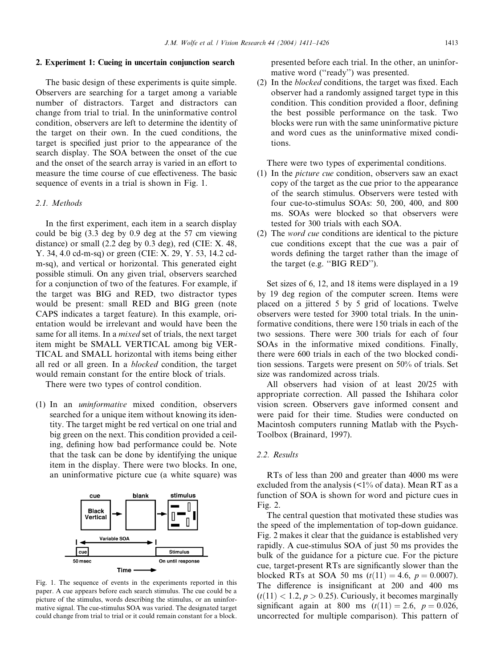#### 2. Experiment 1: Cueing in uncertain conjunction search

The basic design of these experiments is quite simple. Observers are searching for a target among a variable number of distractors. Target and distractors can change from trial to trial. In the uninformative control condition, observers are left to determine the identity of the target on their own. In the cued conditions, the target is specified just prior to the appearance of the search display. The SOA between the onset of the cue and the onset of the search array is varied in an effort to measure the time course of cue effectiveness. The basic sequence of events in a trial is shown in Fig. 1.

## 2.1. Methods

In the first experiment, each item in a search display could be big (3.3 deg by 0.9 deg at the 57 cm viewing distance) or small (2.2 deg by 0.3 deg), red (CIE: X. 48, Y. 34, 4.0 cd-m-sq) or green (CIE: X. 29, Y. 53, 14.2 cdm-sq), and vertical or horizontal. This generated eight possible stimuli. On any given trial, observers searched for a conjunction of two of the features. For example, if the target was BIG and RED, two distractor types would be present: small RED and BIG green (note CAPS indicates a target feature). In this example, orientation would be irrelevant and would have been the same for all items. In a *mixed* set of trials, the next target item might be SMALL VERTICAL among big VER-TICAL and SMALL horizontal with items being either all red or all green. In a blocked condition, the target would remain constant for the entire block of trials.

There were two types of control condition.

(1) In an uninformative mixed condition, observers searched for a unique item without knowing its identity. The target might be red vertical on one trial and big green on the next. This condition provided a ceiling, defining how bad performance could be. Note that the task can be done by identifying the unique item in the display. There were two blocks. In one, an uninformative picture cue (a white square) was



Fig. 1. The sequence of events in the experiments reported in this paper. A cue appears before each search stimulus. The cue could be a picture of the stimulus, words describing the stimulus, or an uninformative signal. The cue-stimulus SOA was varied. The designated target could change from trial to trial or it could remain constant for a block.

presented before each trial. In the other, an uninformative word (''ready'') was presented.

(2) In the blocked conditions, the target was fixed. Each observer had a randomly assigned target type in this condition. This condition provided a floor, defining the best possible performance on the task. Two blocks were run with the same uninformative picture and word cues as the uninformative mixed conditions.

There were two types of experimental conditions.

- (1) In the picture cue condition, observers saw an exact copy of the target as the cue prior to the appearance of the search stimulus. Observers were tested with four cue-to-stimulus SOAs: 50, 200, 400, and 800 ms. SOAs were blocked so that observers were tested for 300 trials with each SOA.
- (2) The word cue conditions are identical to the picture cue conditions except that the cue was a pair of words defining the target rather than the image of the target (e.g. ''BIG RED'').

Set sizes of 6, 12, and 18 items were displayed in a 19 by 19 deg region of the computer screen. Items were placed on a jittered 5 by 5 grid of locations. Twelve observers were tested for 3900 total trials. In the uninformative conditions, there were 150 trials in each of the two sessions. There were 300 trials for each of four SOAs in the informative mixed conditions. Finally, there were 600 trials in each of the two blocked condition sessions. Targets were present on 50% of trials. Set size was randomized across trials.

All observers had vision of at least 20/25 with appropriate correction. All passed the Ishihara color vision screen. Observers gave informed consent and were paid for their time. Studies were conducted on Macintosh computers running Matlab with the Psych-Toolbox (Brainard, 1997).

## 2.2. Results

RTs of less than 200 and greater than 4000 ms were excluded from the analysis  $\left($  <1% of data). Mean RT as a function of SOA is shown for word and picture cues in Fig. 2.

The central question that motivated these studies was the speed of the implementation of top-down guidance. Fig. 2 makes it clear that the guidance is established very rapidly. A cue-stimulus SOA of just 50 ms provides the bulk of the guidance for a picture cue. For the picture cue, target-present RTs are significantly slower than the blocked RTs at SOA 50 ms  $(t(11) = 4.6, p = 0.0007)$ . The difference is insignificant at 200 and 400 ms  $(t(11) < 1.2, p > 0.25)$ . Curiously, it becomes marginally significant again at 800 ms  $(t(11) = 2.6, p = 0.026,$ uncorrected for multiple comparison). This pattern of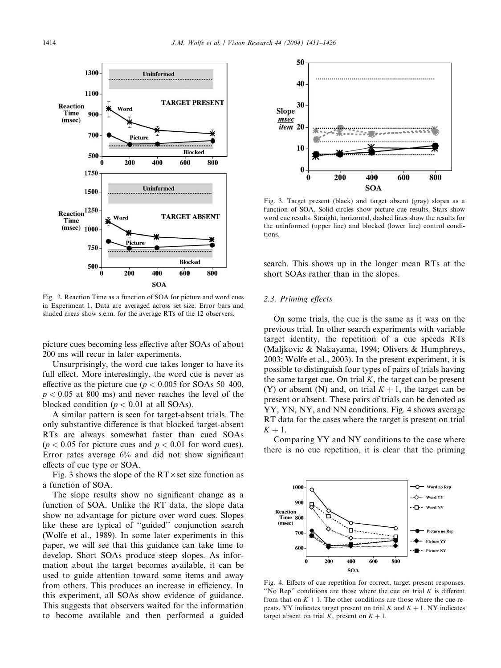

Fig. 2. Reaction Time as a function of SOA for picture and word cues in Experiment 1. Data are averaged across set size. Error bars and shaded areas show s.e.m. for the average RTs of the 12 observers.

picture cues becoming less effective after SOAs of about 200 ms will recur in later experiments.

Unsurprisingly, the word cue takes longer to have its full effect. More interestingly, the word cue is never as effective as the picture cue ( $p < 0.005$  for SOAs 50–400,  $p < 0.05$  at 800 ms) and never reaches the level of the blocked condition ( $p < 0.01$  at all SOAs).

A similar pattern is seen for target-absent trials. The only substantive difference is that blocked target-absent RTs are always somewhat faster than cued SOAs  $(p < 0.05$  for picture cues and  $p < 0.01$  for word cues). Error rates average 6% and did not show significant effects of cue type or SOA.

Fig. 3 shows the slope of the  $RT \times$  set size function as a function of SOA.

The slope results show no significant change as a function of SOA. Unlike the RT data, the slope data show no advantage for picture over word cues. Slopes like these are typical of ''guided'' conjunction search (Wolfe et al., 1989). In some later experiments in this paper, we will see that this guidance can take time to develop. Short SOAs produce steep slopes. As information about the target becomes available, it can be used to guide attention toward some items and away from others. This produces an increase in efficiency. In this experiment, all SOAs show evidence of guidance. This suggests that observers waited for the information to become available and then performed a guided



Fig. 3. Target present (black) and target absent (gray) slopes as a function of SOA. Solid circles show picture cue results. Stars show word cue results. Straight, horizontal, dashed lines show the results for the uninformed (upper line) and blocked (lower line) control conditions.

search. This shows up in the longer mean RTs at the short SOAs rather than in the slopes.

## 2.3. Priming effects

On some trials, the cue is the same as it was on the previous trial. In other search experiments with variable target identity, the repetition of a cue speeds RTs (Maljkovic & Nakayama, 1994; Olivers & Humphreys, 2003; Wolfe et al., 2003). In the present experiment, it is possible to distinguish four types of pairs of trials having the same target cue. On trial  $K$ , the target can be present (Y) or absent (N) and, on trial  $K + 1$ , the target can be present or absent. These pairs of trials can be denoted as YY, YN, NY, and NN conditions. Fig. 4 shows average RT data for the cases where the target is present on trial  $K + 1$ .

Comparing YY and NY conditions to the case where there is no cue repetition, it is clear that the priming



Fig. 4. Effects of cue repetition for correct, target present responses. "No Rep" conditions are those where the cue on trial  $K$  is different from that on  $K + 1$ . The other conditions are those where the cue repeats. YY indicates target present on trial K and  $K + 1$ . NY indicates target absent on trial K, present on  $K + 1$ .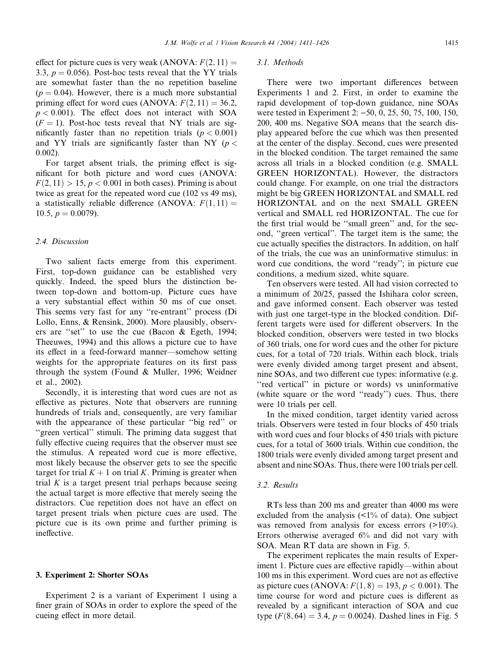effect for picture cues is very weak (ANOVA:  $F(2, 11) =$ 3.3,  $p = 0.056$ ). Post-hoc tests reveal that the YY trials are somewhat faster than the no repetition baseline  $(p = 0.04)$ . However, there is a much more substantial priming effect for word cues (ANOVA:  $F(2, 11) = 36.2$ ,  $p < 0.001$ ). The effect does not interact with SOA  $(F = 1)$ . Post-hoc tests reveal that NY trials are significantly faster than no repetition trials ( $p < 0.001$ ) and YY trials are significantly faster than NY ( $p <$ 0:002).

For target absent trials, the priming effect is significant for both picture and word cues (ANOVA:  $F(2, 11) > 15$ ,  $p < 0.001$  in both cases). Priming is about twice as great for the repeated word cue (102 vs 49 ms), a statistically reliable difference (ANOVA:  $F(1, 11) =$ 10.5,  $p = 0.0079$ ).

## 2.4. Discussion

Two salient facts emerge from this experiment. First, top-down guidance can be established very quickly. Indeed, the speed blurs the distinction between top-down and bottom-up. Picture cues have a very substantial effect within 50 ms of cue onset. This seems very fast for any ''re-entrant'' process (Di Lollo, Enns, & Rensink, 2000). More plausibly, observers are ''set'' to use the cue (Bacon & Egeth, 1994; Theeuwes, 1994) and this allows a picture cue to have its effect in a feed-forward manner––somehow setting weights for the appropriate features on its first pass through the system (Found & Muller, 1996; Weidner et al., 2002).

Secondly, it is interesting that word cues are not as effective as pictures. Note that observers are running hundreds of trials and, consequently, are very familiar with the appearance of these particular ''big red'' or "green vertical" stimuli. The priming data suggest that fully effective cueing requires that the observer must see the stimulus. A repeated word cue is more effective, most likely because the observer gets to see the specific target for trial  $K + 1$  on trial K. Priming is greater when trial  $K$  is a target present trial perhaps because seeing the actual target is more effective that merely seeing the distractors. Cue repetition does not have an effect on target present trials when picture cues are used. The picture cue is its own prime and further priming is ineffective.

#### 3. Experiment 2: Shorter SOAs

Experiment 2 is a variant of Experiment 1 using a finer grain of SOAs in order to explore the speed of the cueing effect in more detail.

#### 3.1. Methods

There were two important differences between Experiments 1 and 2. First, in order to examine the rapid development of top-down guidance, nine SOAs were tested in Experiment 2:  $-50$ , 0, 25, 50, 75, 100, 150, 200, 400 ms. Negative SOA means that the search display appeared before the cue which was then presented at the center of the display. Second, cues were presented in the blocked condition. The target remained the same across all trials in a blocked condition (e.g. SMALL GREEN HORIZONTAL). However, the distractors could change. For example, on one trial the distractors might be big GREEN HORIZONTAL and SMALL red HORIZONTAL and on the next SMALL GREEN vertical and SMALL red HORIZONTAL. The cue for the first trial would be ''small green'' and, for the second, ''green vertical''. The target item is the same; the cue actually specifies the distractors. In addition, on half of the trials, the cue was an uninformative stimulus: in word cue conditions, the word ''ready''; in picture cue conditions, a medium sized, white square.

Ten observers were tested. All had vision corrected to a minimum of 20/25, passed the Ishihara color screen, and gave informed consent. Each observer was tested with just one target-type in the blocked condition. Different targets were used for different observers. In the blocked condition, observers were tested in two blocks of 360 trials, one for word cues and the other for picture cues, for a total of 720 trials. Within each block, trials were evenly divided among target present and absent, nine SOAs, and two different cue types: informative (e.g. "red vertical" in picture or words) vs uninformative (white square or the word ''ready'') cues. Thus, there were 10 trials per cell.

In the mixed condition, target identity varied across trials. Observers were tested in four blocks of 450 trials with word cues and four blocks of 450 trials with picture cues, for a total of 3600 trials. Within cue condition, the 1800 trials were evenly divided among target present and absent and nine SOAs. Thus, there were 100 trials per cell.

#### 3.2. Results

RTs less than 200 ms and greater than 4000 ms were excluded from the analysis  $\left($  <1% of data). One subject was removed from analysis for excess errors  $(>10\%)$ . Errors otherwise averaged 6% and did not vary with SOA. Mean RT data are shown in Fig. 5.

The experiment replicates the main results of Experiment 1. Picture cues are effective rapidly––within about 100 ms in this experiment. Word cues are not as effective as picture cues (ANOVA:  $F(1, 8) = 193$ ,  $p < 0.001$ ). The time course for word and picture cues is different as revealed by a significant interaction of SOA and cue type  $(F(8, 64) = 3.4, p = 0.0024)$ . Dashed lines in Fig. 5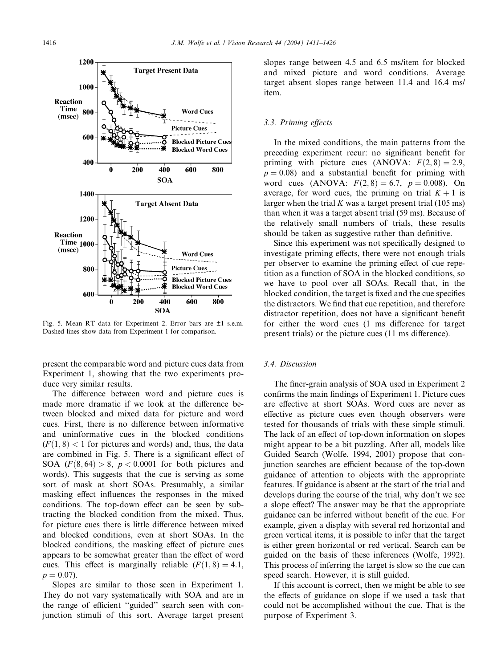

Fig. 5. Mean RT data for Experiment 2. Error bars are ±1 s.e.m. Dashed lines show data from Experiment 1 for comparison.

present the comparable word and picture cues data from Experiment 1, showing that the two experiments produce very similar results.

The difference between word and picture cues is made more dramatic if we look at the difference between blocked and mixed data for picture and word cues. First, there is no difference between informative and uninformative cues in the blocked conditions  $(F(1, 8)$  < 1 for pictures and words) and, thus, the data are combined in Fig. 5. There is a significant effect of SOA  $(F(8, 64) > 8, p < 0.0001$  for both pictures and words). This suggests that the cue is serving as some sort of mask at short SOAs. Presumably, a similar masking effect influences the responses in the mixed conditions. The top-down effect can be seen by subtracting the blocked condition from the mixed. Thus, for picture cues there is little difference between mixed and blocked conditions, even at short SOAs. In the blocked conditions, the masking effect of picture cues appears to be somewhat greater than the effect of word cues. This effect is marginally reliable  $(F(1, 8) = 4.1,$  $p = 0.07$ ).

Slopes are similar to those seen in Experiment 1. They do not vary systematically with SOA and are in the range of efficient ''guided'' search seen with conjunction stimuli of this sort. Average target present slopes range between 4.5 and 6.5 ms/item for blocked and mixed picture and word conditions. Average target absent slopes range between 11.4 and 16.4 ms/ item.

## 3.3. Priming effects

In the mixed conditions, the main patterns from the preceding experiment recur: no significant benefit for priming with picture cues (ANOVA:  $F(2, 8) = 2.9$ ,  $p = 0.08$ ) and a substantial benefit for priming with word cues (ANOVA:  $F(2,8) = 6.7$ ,  $p = 0.008$ ). On average, for word cues, the priming on trial  $K + 1$  is larger when the trial  $K$  was a target present trial (105 ms) than when it was a target absent trial (59 ms). Because of the relatively small numbers of trials, these results should be taken as suggestive rather than definitive.

Since this experiment was not specifically designed to investigate priming effects, there were not enough trials per observer to examine the priming effect of cue repetition as a function of SOA in the blocked conditions, so we have to pool over all SOAs. Recall that, in the blocked condition, the target is fixed and the cue specifies the distractors. We find that cue repetition, and therefore distractor repetition, does not have a significant benefit for either the word cues (1 ms difference for target present trials) or the picture cues (11 ms difference).

## 3.4. Discussion

The finer-grain analysis of SOA used in Experiment 2 confirms the main findings of Experiment 1. Picture cues are effective at short SOAs. Word cues are never as effective as picture cues even though observers were tested for thousands of trials with these simple stimuli. The lack of an effect of top-down information on slopes might appear to be a bit puzzling. After all, models like Guided Search (Wolfe, 1994, 2001) propose that conjunction searches are efficient because of the top-down guidance of attention to objects with the appropriate features. If guidance is absent at the start of the trial and develops during the course of the trial, why don't we see a slope effect? The answer may be that the appropriate guidance can be inferred without benefit of the cue. For example, given a display with several red horizontal and green vertical items, it is possible to infer that the target is either green horizontal or red vertical. Search can be guided on the basis of these inferences (Wolfe, 1992). This process of inferring the target is slow so the cue can speed search. However, it is still guided.

If this account is correct, then we might be able to see the effects of guidance on slope if we used a task that could not be accomplished without the cue. That is the purpose of Experiment 3.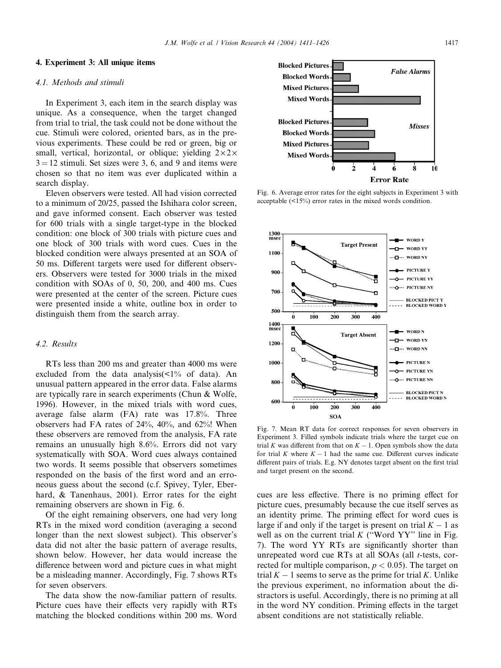1300<br>msec

#### 4. Experiment 3: All unique items

#### 4.1. Methods and stimuli

In Experiment 3, each item in the search display was unique. As a consequence, when the target changed from trial to trial, the task could not be done without the cue. Stimuli were colored, oriented bars, as in the previous experiments. These could be red or green, big or small, vertical, horizontal, or oblique; yielding  $2 \times 2 \times$  $3 = 12$  stimuli. Set sizes were 3, 6, and 9 and items were chosen so that no item was ever duplicated within a search display.

Eleven observers were tested. All had vision corrected to a minimum of 20/25, passed the Ishihara color screen, and gave informed consent. Each observer was tested for 600 trials with a single target-type in the blocked condition: one block of 300 trials with picture cues and one block of 300 trials with word cues. Cues in the blocked condition were always presented at an SOA of 50 ms. Different targets were used for different observers. Observers were tested for 3000 trials in the mixed condition with SOAs of 0, 50, 200, and 400 ms. Cues were presented at the center of the screen. Picture cues were presented inside a white, outline box in order to distinguish them from the search array.

#### 4.2. Results

RTs less than 200 ms and greater than 4000 ms were excluded from the data analysis(<1% of data). An unusual pattern appeared in the error data. False alarms are typically rare in search experiments (Chun & Wolfe, 1996). However, in the mixed trials with word cues, average false alarm (FA) rate was 17.8%. Three observers had FA rates of 24%, 40%, and 62%! When these observers are removed from the analysis, FA rate remains an unusually high 8.6%. Errors did not vary systematically with SOA. Word cues always contained two words. It seems possible that observers sometimes responded on the basis of the first word and an erroneous guess about the second (c.f. Spivey, Tyler, Eberhard, & Tanenhaus, 2001). Error rates for the eight remaining observers are shown in Fig. 6.

Of the eight remaining observers, one had very long RTs in the mixed word condition (averaging a second longer than the next slowest subject). This observer's data did not alter the basic pattern of average results, shown below. However, her data would increase the difference between word and picture cues in what might be a misleading manner. Accordingly, Fig. 7 shows RTs for seven observers.

The data show the now-familiar pattern of results. Picture cues have their effects very rapidly with RTs matching the blocked conditions within 200 ms. Word

Fig. 6. Average error rates for the eight subjects in Experiment 3 with acceptable (<15%) error rates in the mixed words condition.

**Target Present** 

**WORD Y** 

 $-$  WORD YY

÷



Fig. 7. Mean RT data for correct responses for seven observers in Experiment 3. Filled symbols indicate trials where the target cue on trial K was different from that on  $K - 1$ . Open symbols show the data for trial K where  $K - 1$  had the same cue. Different curves indicate different pairs of trials. E.g. NY denotes target absent on the first trial and target present on the second.

cues are less effective. There is no priming effect for picture cues, presumably because the cue itself serves as an identity prime. The priming effect for word cues is large if and only if the target is present on trial  $K - 1$  as well as on the current trial  $K$  ("Word  $YY$ " line in Fig. 7). The word YY RTs are significantly shorter than unrepeated word cue RTs at all SOAs (all  $t$ -tests, corrected for multiple comparison,  $p < 0.05$ ). The target on trial  $K - 1$  seems to serve as the prime for trial K. Unlike the previous experiment, no information about the distractors is useful. Accordingly, there is no priming at all in the word NY condition. Priming effects in the target absent conditions are not statistically reliable.

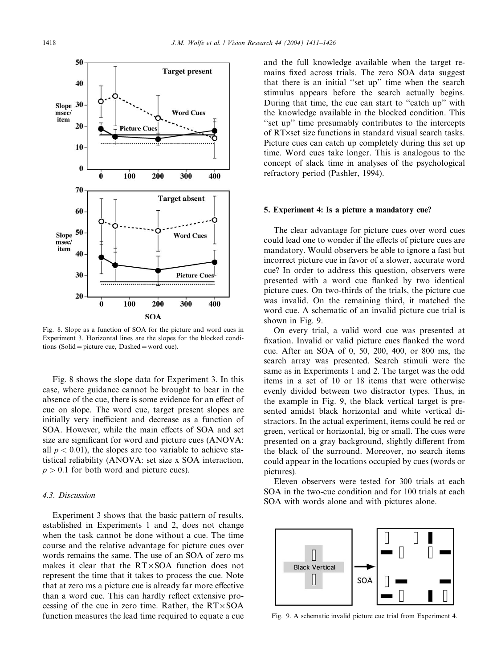

Fig. 8. Slope as a function of SOA for the picture and word cues in Experiment 3. Horizontal lines are the slopes for the blocked conditions (Solid = picture cue, Dashed = word cue).

Fig. 8 shows the slope data for Experiment 3. In this case, where guidance cannot be brought to bear in the absence of the cue, there is some evidence for an effect of cue on slope. The word cue, target present slopes are initially very inefficient and decrease as a function of SOA. However, while the main effects of SOA and set size are significant for word and picture cues (ANOVA: all  $p < 0.01$ ), the slopes are too variable to achieve statistical reliability (ANOVA: set size x SOA interaction,  $p > 0.1$  for both word and picture cues).

## 4.3. Discussion

Experiment 3 shows that the basic pattern of results, established in Experiments 1 and 2, does not change when the task cannot be done without a cue. The time course and the relative advantage for picture cues over words remains the same. The use of an SOA of zero ms makes it clear that the  $RT \times SOA$  function does not represent the time that it takes to process the cue. Note that at zero ms a picture cue is already far more effective than a word cue. This can hardly reflect extensive processing of the cue in zero time. Rather, the  $RT \times SOA$ function measures the lead time required to equate a cue and the full knowledge available when the target remains fixed across trials. The zero SOA data suggest that there is an initial ''set up'' time when the search stimulus appears before the search actually begins. During that time, the cue can start to ''catch up'' with the knowledge available in the blocked condition. This ''set up'' time presumably contributes to the intercepts of RT×set size functions in standard visual search tasks. Picture cues can catch up completely during this set up time. Word cues take longer. This is analogous to the concept of slack time in analyses of the psychological refractory period (Pashler, 1994).

#### 5. Experiment 4: Is a picture a mandatory cue?

The clear advantage for picture cues over word cues could lead one to wonder if the effects of picture cues are mandatory. Would observers be able to ignore a fast but incorrect picture cue in favor of a slower, accurate word cue? In order to address this question, observers were presented with a word cue flanked by two identical picture cues. On two-thirds of the trials, the picture cue was invalid. On the remaining third, it matched the word cue. A schematic of an invalid picture cue trial is shown in Fig. 9.

On every trial, a valid word cue was presented at fixation. Invalid or valid picture cues flanked the word cue. After an SOA of 0, 50, 200, 400, or 800 ms, the search array was presented. Search stimuli were the same as in Experiments 1 and 2. The target was the odd items in a set of 10 or 18 items that were otherwise evenly divided between two distractor types. Thus, in the example in Fig. 9, the black vertical target is presented amidst black horizontal and white vertical distractors. In the actual experiment, items could be red or green, vertical or horizontal, big or small. The cues were presented on a gray background, slightly different from the black of the surround. Moreover, no search items could appear in the locations occupied by cues (words or pictures).

Eleven observers were tested for 300 trials at each SOA in the two-cue condition and for 100 trials at each SOA with words alone and with pictures alone.



Fig. 9. A schematic invalid picture cue trial from Experiment 4.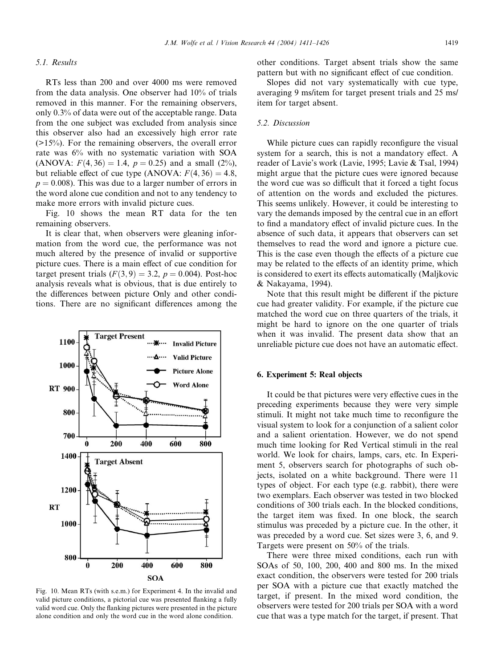#### 5.1. Results

RTs less than 200 and over 4000 ms were removed from the data analysis. One observer had 10% of trials removed in this manner. For the remaining observers, only 0.3% of data were out of the acceptable range. Data from the one subject was excluded from analysis since this observer also had an excessively high error rate  $(>15\%)$ . For the remaining observers, the overall error rate was 6% with no systematic variation with SOA (ANOVA:  $F(4, 36) = 1.4$ ,  $p = 0.25$ ) and a small (2%), but reliable effect of cue type (ANOVA:  $F(4, 36) = 4.8$ ,  $p = 0.008$ ). This was due to a larger number of errors in the word alone cue condition and not to any tendency to make more errors with invalid picture cues.

Fig. 10 shows the mean RT data for the ten remaining observers.

It is clear that, when observers were gleaning information from the word cue, the performance was not much altered by the presence of invalid or supportive picture cues. There is a main effect of cue condition for target present trials  $(F(3, 9) = 3.2, p = 0.004)$ . Post-hoc analysis reveals what is obvious, that is due entirely to the differences between picture Only and other conditions. There are no significant differences among the

…<del>※</del>… Invalid Picture

**Target Present** 

1100



valid picture conditions, a pictorial cue was presented flanking a fully valid word cue. Only the flanking pictures were presented in the picture alone condition and only the word cue in the word alone condition.

other conditions. Target absent trials show the same pattern but with no significant effect of cue condition.

Slopes did not vary systematically with cue type, averaging 9 ms/item for target present trials and 25 ms/ item for target absent.

## 5.2. Discussion

While picture cues can rapidly reconfigure the visual system for a search, this is not a mandatory effect. A reader of Lavie's work (Lavie, 1995; Lavie & Tsal, 1994) might argue that the picture cues were ignored because the word cue was so difficult that it forced a tight focus of attention on the words and excluded the pictures. This seems unlikely. However, it could be interesting to vary the demands imposed by the central cue in an effort to find a mandatory effect of invalid picture cues. In the absence of such data, it appears that observers can set themselves to read the word and ignore a picture cue. This is the case even though the effects of a picture cue may be related to the effects of an identity prime, which is considered to exert its effects automatically (Maljkovic & Nakayama, 1994).

Note that this result might be different if the picture cue had greater validity. For example, if the picture cue matched the word cue on three quarters of the trials, it might be hard to ignore on the one quarter of trials when it was invalid. The present data show that an unreliable picture cue does not have an automatic effect.

#### 6. Experiment 5: Real objects

It could be that pictures were very effective cues in the preceding experiments because they were very simple stimuli. It might not take much time to reconfigure the visual system to look for a conjunction of a salient color and a salient orientation. However, we do not spend much time looking for Red Vertical stimuli in the real world. We look for chairs, lamps, cars, etc. In Experiment 5, observers search for photographs of such objects, isolated on a white background. There were 11 types of object. For each type (e.g. rabbit), there were two exemplars. Each observer was tested in two blocked conditions of 300 trials each. In the blocked conditions, the target item was fixed. In one block, the search stimulus was preceded by a picture cue. In the other, it was preceded by a word cue. Set sizes were 3, 6, and 9. Targets were present on 50% of the trials.

There were three mixed conditions, each run with SOAs of 50, 100, 200, 400 and 800 ms. In the mixed exact condition, the observers were tested for 200 trials per SOA with a picture cue that exactly matched the target, if present. In the mixed word condition, the observers were tested for 200 trials per SOA with a word cue that was a type match for the target, if present. That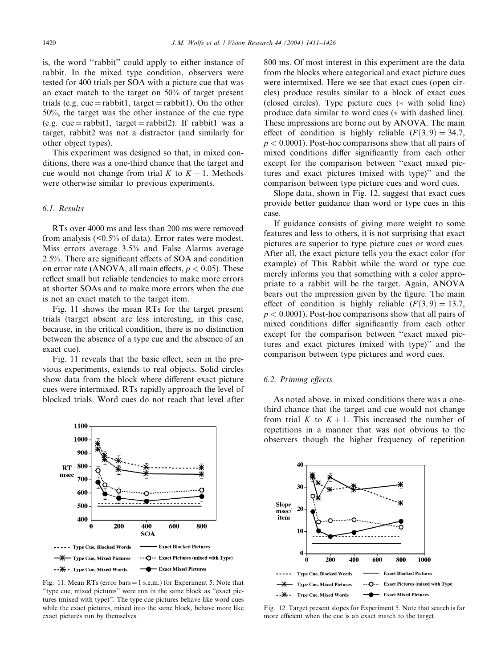is, the word ''rabbit'' could apply to either instance of rabbit. In the mixed type condition, observers were tested for 400 trials per SOA with a picture cue that was an exact match to the target on 50% of target present trials (e.g. cue = rabbit1, target = rabbit1). On the other 50%, the target was the other instance of the cue type (e.g. cue = rabbit1, target = rabbit2). If rabbit1 was a target, rabbit2 was not a distractor (and similarly for other object types).

This experiment was designed so that, in mixed conditions, there was a one-third chance that the target and cue would not change from trial K to  $K + 1$ . Methods were otherwise similar to previous experiments.

## 6.1. Results

RTs over 4000 ms and less than 200 ms were removed from analysis (<0.5% of data). Error rates were modest. Miss errors average 3.5% and False Alarms average 2.5%. There are significant effects of SOA and condition on error rate (ANOVA, all main effects,  $p < 0.05$ ). These reflect small but reliable tendencies to make more errors at shorter SOAs and to make more errors when the cue is not an exact match to the target item.

Fig. 11 shows the mean RTs for the target present trials (target absent are less interesting, in this case, because, in the critical condition, there is no distinction between the absence of a type cue and the absence of an exact cue).

Fig. 11 reveals that the basic effect, seen in the previous experiments, extends to real objects. Solid circles show data from the block where different exact picture cues were intermixed. RTs rapidly approach the level of blocked trials. Word cues do not reach that level after



Fig. 11. Mean RTs (error bars  $= 1$  s.e.m.) for Experiment 5. Note that ''type cue, mixed pictures'' were run in the same block as ''exact pictures (mixed with type)''. The type cue pictures behave like word cues while the exact pictures, mixed into the same block, behave more like exact pictures run by themselves.

800 ms. Of most interest in this experiment are the data from the blocks where categorical and exact picture cues were intermixed. Here we see that exact cues (open circles) produce results similar to a block of exact cues (closed circles). Type picture cues  $(*$  with solid line) produce data similar to word cues (\* with dashed line). These impressions are borne out by ANOVA. The main effect of condition is highly reliable  $(F(3, 9) = 34.7,$  $p < 0.0001$ ). Post-hoc comparisons show that all pairs of mixed conditions differ significantly from each other except for the comparison between ''exact mixed pictures and exact pictures (mixed with type)'' and the comparison between type picture cues and word cues.

Slope data, shown in Fig. 12, suggest that exact cues provide better guidance than word or type cues in this case.

If guidance consists of giving more weight to some features and less to others, it is not surprising that exact pictures are superior to type picture cues or word cues. After all, the exact picture tells you the exact color (for example) of This Rabbit while the word or type cue merely informs you that something with a color appropriate to a rabbit will be the target. Again, ANOVA bears out the impression given by the figure. The main effect of condition is highly reliable  $(F(3, 9) = 13.7,$  $p < 0.0001$ ). Post-hoc comparisons show that all pairs of mixed conditions differ significantly from each other except for the comparison between ''exact mixed pictures and exact pictures (mixed with type)'' and the comparison between type pictures and word cues.

## 6.2. Priming effects

As noted above, in mixed conditions there was a onethird chance that the target and cue would not change from trial K to  $K + 1$ . This increased the number of repetitions in a manner that was not obvious to the observers though the higher frequency of repetition



Fig. 12. Target present slopes for Experiment 5. Note that search is far more efficient when the cue is an exact match to the target.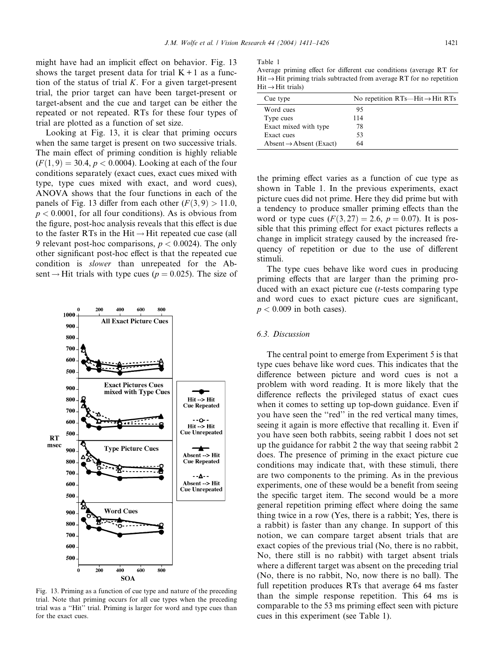might have had an implicit effect on behavior. Fig. 13 shows the target present data for trial  $K + 1$  as a function of the status of trial  $K$ . For a given target-present trial, the prior target can have been target-present or target-absent and the cue and target can be either the repeated or not repeated. RTs for these four types of trial are plotted as a function of set size.

Looking at Fig. 13, it is clear that priming occurs when the same target is present on two successive trials. The main effect of priming condition is highly reliable  $(F(1, 9) = 30.4, p < 0.0004)$ . Looking at each of the four conditions separately (exact cues, exact cues mixed with type, type cues mixed with exact, and word cues), ANOVA shows that the four functions in each of the panels of Fig. 13 differ from each other  $(F(3, 9) > 11.0$ ,  $p < 0.0001$ , for all four conditions). As is obvious from the figure, post-hoc analysis reveals that this effect is due to the faster RTs in the Hit  $\rightarrow$  Hit repeated cue case (all 9 relevant post-hoc comparisons,  $p < 0.0024$ ). The only other significant post-hoc effect is that the repeated cue condition is slower than unrepeated for the Absent  $\rightarrow$  Hit trials with type cues ( $p = 0.025$ ). The size of



Fig. 13. Priming as a function of cue type and nature of the preceding trial. Note that priming occurs for all cue types when the preceding trial was a ''Hit'' trial. Priming is larger for word and type cues than for the exact cues.

Table 1

Average priming effect for different cue conditions (average RT for  $Hit \rightarrow Hit$  priming trials subtracted from average RT for no repetition  $Hit \rightarrow Hit$  trials)

| Cue type                            | No repetition $RTs$ —Hit $\rightarrow$ Hit RTs |
|-------------------------------------|------------------------------------------------|
| Word cues                           | 95                                             |
| Type cues                           | 114                                            |
| Exact mixed with type               | 78                                             |
| Exact cues                          | 53                                             |
| Absent $\rightarrow$ Absent (Exact) | 64                                             |

the priming effect varies as a function of cue type as shown in Table 1. In the previous experiments, exact picture cues did not prime. Here they did prime but with a tendency to produce smaller priming effects than the word or type cues  $(F(3, 27) = 2.6, p = 0.07)$ . It is possible that this priming effect for exact pictures reflects a change in implicit strategy caused by the increased frequency of repetition or due to the use of different stimuli.

The type cues behave like word cues in producing priming effects that are larger than the priming produced with an exact picture cue  $(t$ -tests comparing type and word cues to exact picture cues are significant,  $p < 0.009$  in both cases).

#### 6.3. Discussion

The central point to emerge from Experiment 5 is that type cues behave like word cues. This indicates that the difference between picture and word cues is not a problem with word reading. It is more likely that the difference reflects the privileged status of exact cues when it comes to setting up top-down guidance. Even if you have seen the ''red'' in the red vertical many times, seeing it again is more effective that recalling it. Even if you have seen both rabbits, seeing rabbit 1 does not set up the guidance for rabbit 2 the way that seeing rabbit 2 does. The presence of priming in the exact picture cue conditions may indicate that, with these stimuli, there are two components to the priming. As in the previous experiments, one of these would be a benefit from seeing the specific target item. The second would be a more general repetition priming effect where doing the same thing twice in a row (Yes, there is a rabbit; Yes, there is a rabbit) is faster than any change. In support of this notion, we can compare target absent trials that are exact copies of the previous trial (No, there is no rabbit, No, there still is no rabbit) with target absent trials where a different target was absent on the preceding trial (No, there is no rabbit, No, now there is no ball). The full repetition produces RTs that average 64 ms faster than the simple response repetition. This 64 ms is comparable to the 53 ms priming effect seen with picture cues in this experiment (see Table 1).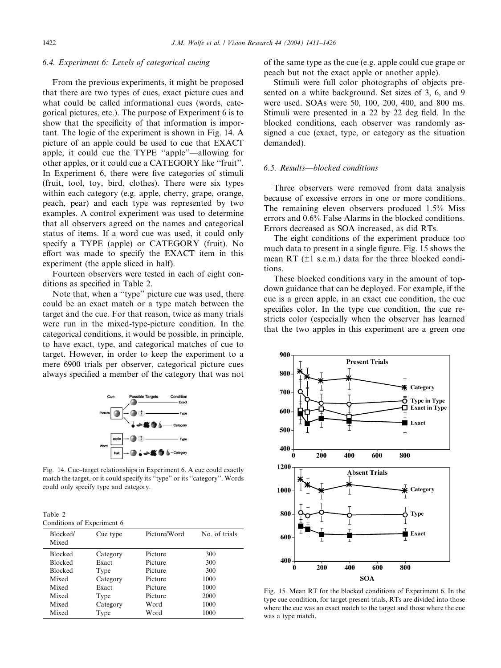## 6.4. Experiment 6: Levels of categorical cueing

From the previous experiments, it might be proposed that there are two types of cues, exact picture cues and what could be called informational cues (words, categorical pictures, etc.). The purpose of Experiment 6 is to show that the specificity of that information is important. The logic of the experiment is shown in Fig. 14. A picture of an apple could be used to cue that EXACT apple, it could cue the TYPE ''apple''––allowing for other apples, or it could cue a CATEGORY like ''fruit''. In Experiment 6, there were five categories of stimuli (fruit, tool, toy, bird, clothes). There were six types within each category (e.g. apple, cherry, grape, orange, peach, pear) and each type was represented by two examples. A control experiment was used to determine that all observers agreed on the names and categorical status of items. If a word cue was used, it could only specify a TYPE (apple) or CATEGORY (fruit). No effort was made to specify the EXACT item in this experiment (the apple sliced in half).

Fourteen observers were tested in each of eight conditions as specified in Table 2.

Note that, when a ''type'' picture cue was used, there could be an exact match or a type match between the target and the cue. For that reason, twice as many trials were run in the mixed-type-picture condition. In the categorical conditions, it would be possible, in principle, to have exact, type, and categorical matches of cue to target. However, in order to keep the experiment to a mere 6900 trials per observer, categorical picture cues always specified a member of the category that was not



Fig. 14. Cue–target relationships in Experiment 6. A cue could exactly match the target, or it could specify its ''type'' or its ''category''. Words could only specify type and category.

Table 2 Conditions of Experiment 6

| Blocked/<br>Mixed | Cue type | Picture/Word | No. of trials |
|-------------------|----------|--------------|---------------|
| <b>Blocked</b>    | Category | Picture      | 300           |
| <b>Blocked</b>    | Exact    | Picture      | 300           |
| <b>Blocked</b>    | Type     | Picture      | 300           |
| Mixed             | Category | Picture      | 1000          |
| Mixed             | Exact    | Picture      | 1000          |
| Mixed             | Type     | Picture      | 2000          |
| Mixed             | Category | Word         | 1000          |
| Mixed             | Type     | Word         | 1000          |

of the same type as the cue (e.g. apple could cue grape or peach but not the exact apple or another apple).

Stimuli were full color photographs of objects presented on a white background. Set sizes of 3, 6, and 9 were used. SOAs were 50, 100, 200, 400, and 800 ms. Stimuli were presented in a 22 by 22 deg field. In the blocked conditions, each observer was randomly assigned a cue (exact, type, or category as the situation demanded).

#### 6.5. Results––blocked conditions

Three observers were removed from data analysis because of excessive errors in one or more conditions. The remaining eleven observers produced 1.5% Miss errors and 0.6% False Alarms in the blocked conditions. Errors decreased as SOA increased, as did RTs.

The eight conditions of the experiment produce too much data to present in a single figure. Fig. 15 shows the mean RT  $(\pm 1 \text{ s.e.m.})$  data for the three blocked conditions.

These blocked conditions vary in the amount of topdown guidance that can be deployed. For example, if the cue is a green apple, in an exact cue condition, the cue specifies color. In the type cue condition, the cue restricts color (especially when the observer has learned that the two apples in this experiment are a green one



Fig. 15. Mean RT for the blocked conditions of Experiment 6. In the type cue condition, for target present trials, RTs are divided into those where the cue was an exact match to the target and those where the cue was a type match.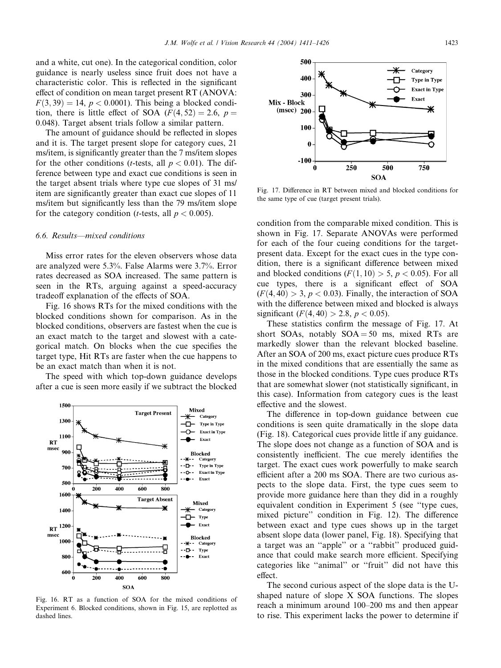and a white, cut one). In the categorical condition, color guidance is nearly useless since fruit does not have a characteristic color. This is reflected in the significant effect of condition on mean target present RT (ANOVA:  $F(3, 39) = 14$ ,  $p < 0.0001$ ). This being a blocked condition, there is little effect of SOA  $(F(4, 52) = 2.6, p =$ 0:048). Target absent trials follow a similar pattern.

The amount of guidance should be reflected in slopes and it is. The target present slope for category cues, 21 ms/item, is significantly greater than the 7 ms/item slopes for the other conditions (*t*-tests, all  $p < 0.01$ ). The difference between type and exact cue conditions is seen in the target absent trials where type cue slopes of 31 ms/ item are significantly greater than exact cue slopes of 11 ms/item but significantly less than the 79 ms/item slope for the category condition (*t*-tests, all  $p < 0.005$ ).

#### 6.6. Results––mixed conditions

Miss error rates for the eleven observers whose data are analyzed were 5.3%. False Alarms were 3.7%. Error rates decreased as SOA increased. The same pattern is seen in the RTs, arguing against a speed-accuracy tradeoff explanation of the effects of SOA.

Fig. 16 shows RTs for the mixed conditions with the blocked conditions shown for comparison. As in the blocked conditions, observers are fastest when the cue is an exact match to the target and slowest with a categorical match. On blocks when the cue specifies the target type, Hit RTs are faster when the cue happens to be an exact match than when it is not.

The speed with which top-down guidance develops after a cue is seen more easily if we subtract the blocked



Fig. 16. RT as a function of SOA for the mixed conditions of Experiment 6. Blocked conditions, shown in Fig. 15, are replotted as dashed lines.



Fig. 17. Difference in RT between mixed and blocked conditions for the same type of cue (target present trials).

condition from the comparable mixed condition. This is shown in Fig. 17. Separate ANOVAs were performed for each of the four cueing conditions for the targetpresent data. Except for the exact cues in the type condition, there is a significant difference between mixed and blocked conditions  $(F(1, 10) > 5, p < 0.05)$ . For all cue types, there is a significant effect of SOA  $(F(4, 40) > 3, p < 0.03)$ . Finally, the interaction of SOA with the difference between mixed and blocked is always significant  $(F(4, 40) > 2.8, p < 0.05)$ .

These statistics confirm the message of Fig. 17. At short SOAs, notably  $SOA = 50$  ms, mixed RTs are markedly slower than the relevant blocked baseline. After an SOA of 200 ms, exact picture cues produce RTs in the mixed conditions that are essentially the same as those in the blocked conditions. Type cues produce RTs that are somewhat slower (not statistically significant, in this case). Information from category cues is the least effective and the slowest.

The difference in top-down guidance between cue conditions is seen quite dramatically in the slope data (Fig. 18). Categorical cues provide little if any guidance. The slope does not change as a function of SOA and is consistently inefficient. The cue merely identifies the target. The exact cues work powerfully to make search efficient after a 200 ms SOA. There are two curious aspects to the slope data. First, the type cues seem to provide more guidance here than they did in a roughly equivalent condition in Experiment 5 (see ''type cues, mixed picture'' condition in Fig. 12). The difference between exact and type cues shows up in the target absent slope data (lower panel, Fig. 18). Specifying that a target was an ''apple'' or a ''rabbit'' produced guidance that could make search more efficient. Specifying categories like ''animal'' or ''fruit'' did not have this effect.

The second curious aspect of the slope data is the Ushaped nature of slope X SOA functions. The slopes reach a minimum around 100–200 ms and then appear to rise. This experiment lacks the power to determine if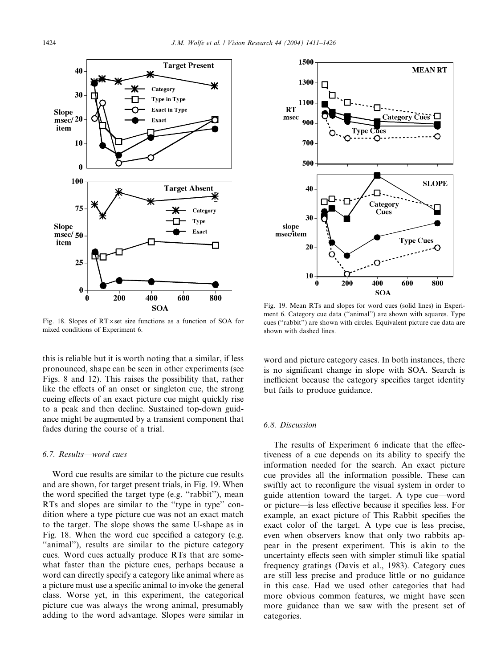

Fig. 18. Slopes of  $RT \times$  set size functions as a function of SOA for mixed conditions of Experiment 6.

this is reliable but it is worth noting that a similar, if less pronounced, shape can be seen in other experiments (see Figs. 8 and 12). This raises the possibility that, rather like the effects of an onset or singleton cue, the strong cueing effects of an exact picture cue might quickly rise to a peak and then decline. Sustained top-down guidance might be augmented by a transient component that fades during the course of a trial.

## 6.7. Results––word cues

Word cue results are similar to the picture cue results and are shown, for target present trials, in Fig. 19. When the word specified the target type (e.g. ''rabbit''), mean RTs and slopes are similar to the ''type in type'' condition where a type picture cue was not an exact match to the target. The slope shows the same U-shape as in Fig. 18. When the word cue specified a category (e.g. ''animal''), results are similar to the picture category cues. Word cues actually produce RTs that are somewhat faster than the picture cues, perhaps because a word can directly specify a category like animal where as a picture must use a specific animal to invoke the general class. Worse yet, in this experiment, the categorical picture cue was always the wrong animal, presumably adding to the word advantage. Slopes were similar in



Fig. 19. Mean RTs and slopes for word cues (solid lines) in Experiment 6. Category cue data (''animal'') are shown with squares. Type cues (''rabbit'') are shown with circles. Equivalent picture cue data are shown with dashed lines.

word and picture category cases. In both instances, there is no significant change in slope with SOA. Search is inefficient because the category specifies target identity but fails to produce guidance.

#### 6.8. Discussion

The results of Experiment 6 indicate that the effectiveness of a cue depends on its ability to specify the information needed for the search. An exact picture cue provides all the information possible. These can swiftly act to reconfigure the visual system in order to guide attention toward the target. A type cue––word or picture––is less effective because it specifies less. For example, an exact picture of This Rabbit specifies the exact color of the target. A type cue is less precise, even when observers know that only two rabbits appear in the present experiment. This is akin to the uncertainty effects seen with simpler stimuli like spatial frequency gratings (Davis et al., 1983). Category cues are still less precise and produce little or no guidance in this case. Had we used other categories that had more obvious common features, we might have seen more guidance than we saw with the present set of categories.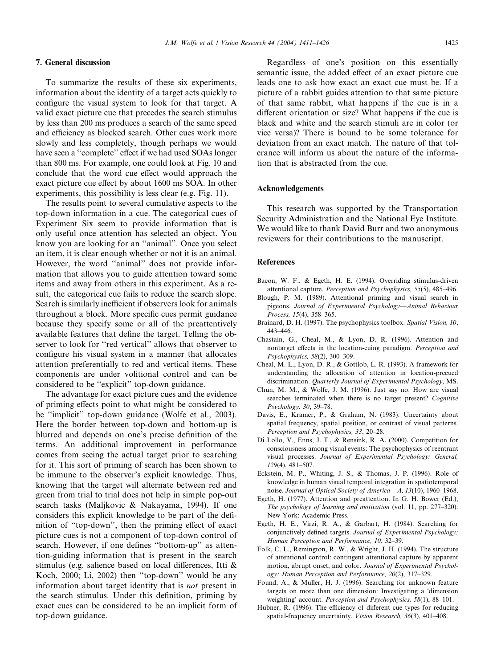## 7. General discussion

To summarize the results of these six experiments, information about the identity of a target acts quickly to configure the visual system to look for that target. A valid exact picture cue that precedes the search stimulus by less than 200 ms produces a search of the same speed and efficiency as blocked search. Other cues work more slowly and less completely, though perhaps we would have seen a ''complete'' effect if we had used SOAs longer than 800 ms. For example, one could look at Fig. 10 and conclude that the word cue effect would approach the exact picture cue effect by about 1600 ms SOA. In other experiments, this possibility is less clear (e.g. Fig. 11).

The results point to several cumulative aspects to the top-down information in a cue. The categorical cues of Experiment Six seem to provide information that is only useful once attention has selected an object. You know you are looking for an ''animal''. Once you select an item, it is clear enough whether or not it is an animal. However, the word ''animal'' does not provide information that allows you to guide attention toward some items and away from others in this experiment. As a result, the categorical cue fails to reduce the search slope. Search is similarly inefficient if observers look for animals throughout a block. More specific cues permit guidance because they specify some or all of the preattentively available features that define the target. Telling the observer to look for ''red vertical'' allows that observer to configure his visual system in a manner that allocates attention preferentially to red and vertical items. These components are under volitional control and can be considered to be ''explicit'' top-down guidance.

The advantage for exact picture cues and the evidence of priming effects point to what might be considered to be "implicit" top-down guidance (Wolfe et al., 2003). Here the border between top-down and bottom-up is blurred and depends on one's precise definition of the terms. An additional improvement in performance comes from seeing the actual target prior to searching for it. This sort of priming of search has been shown to be immune to the observer's explicit knowledge. Thus, knowing that the target will alternate between red and green from trial to trial does not help in simple pop-out search tasks (Maljkovic & Nakayama, 1994). If one considers this explicit knowledge to be part of the definition of ''top-down'', then the priming effect of exact picture cues is not a component of top-down control of search. However, if one defines ''bottom-up'' as attention-guiding information that is present in the search stimulus (e.g. salience based on local differences, Itti & Koch, 2000; Li, 2002) then ''top-down'' would be any information about target identity that is not present in the search stimulus. Under this definition, priming by exact cues can be considered to be an implicit form of top-down guidance.

Regardless of one's position on this essentially semantic issue, the added effect of an exact picture cue leads one to ask how exact an exact cue must be. If a picture of a rabbit guides attention to that same picture of that same rabbit, what happens if the cue is in a different orientation or size? What happens if the cue is black and white and the search stimuli are in color (or vice versa)? There is bound to be some tolerance for deviation from an exact match. The nature of that tolerance will inform us about the nature of the information that is abstracted from the cue.

#### Acknowledgements

This research was supported by the Transportation Security Administration and the National Eye Institute. We would like to thank David Burr and two anonymous reviewers for their contributions to the manuscript.

#### References

- Bacon, W. F., & Egeth, H. E. (1994). Overriding stimulus-driven attentional capture. Perception and Psychophysics, 55(5), 485–496.
- Blough, P. M. (1989). Attentional priming and visual search in pigeons. Journal of Experimental Psychology––Animal Behaviour Process, 15(4), 358–365.
- Brainard, D. H. (1997). The psychophysics toolbox. Spatial Vision, 10, 443–446.
- Chastain, G., Cheal, M., & Lyon, D. R. (1996). Attention and nontarget effects in the location-cuing paradigm. Perception and Psychophysics, 58(2), 300–309.
- Cheal, M. L., Lyon, D. R., & Gottlob, L. R. (1993). A framework for understanding the allocation of attention in location-precued discrimination. Quarterly Journal of Experimental Psychology, MS.
- Chun, M. M., & Wolfe, J. M. (1996). Just say no: How are visual searches terminated when there is no target present? Cognitive Psychology, 30, 39–78.
- Davis, E., Kramer, P., & Graham, N. (1983). Uncertainty about spatial frequency, spatial position, or contrast of visual patterns. Perception and Psychophysics, 33, 20–28.
- Di Lollo, V., Enns, J. T., & Rensink, R. A. (2000). Competition for consciousness among visual events: The psychophysics of reentrant visual processes. Journal of Experimental Psychology: General, 129(4), 481–507.
- Eckstein, M. P., Whiting, J. S., & Thomas, J. P. (1996). Role of knowledge in human visual temporal integration in spatiotemporal noise. Journal of Optical Society of America--- A, 13(10), 1960-1968.
- Egeth, H. (1977). Attention and preattention. In G. H. Bower (Ed.), The psychology of learning and motivation (vol. 11, pp. 277–320). New York: Academic Press.
- Egeth, H. E., Virzi, R. A., & Garbart, H. (1984). Searching for conjunctively defined targets. Journal of Experimental Psychology: Human Perception and Performance, 10, 32–39.
- Folk, C. L., Remington, R. W., & Wright, J. H. (1994). The structure of attentional control: contingent attentional capture by apparent motion, abrupt onset, and color. Journal of Experimental Psychology: Human Perception and Performance, 20(2), 317–329.
- Found, A., & Muller, H. J. (1996). Searching for unknown feature targets on more than one dimension: Investigating a 'dimension weighting' account. *Perception and Psychophysics*, 58(1), 88–101.
- Hubner, R. (1996). The efficiency of different cue types for reducing spatial-frequency uncertainty. Vision Research, 36(3), 401–408.